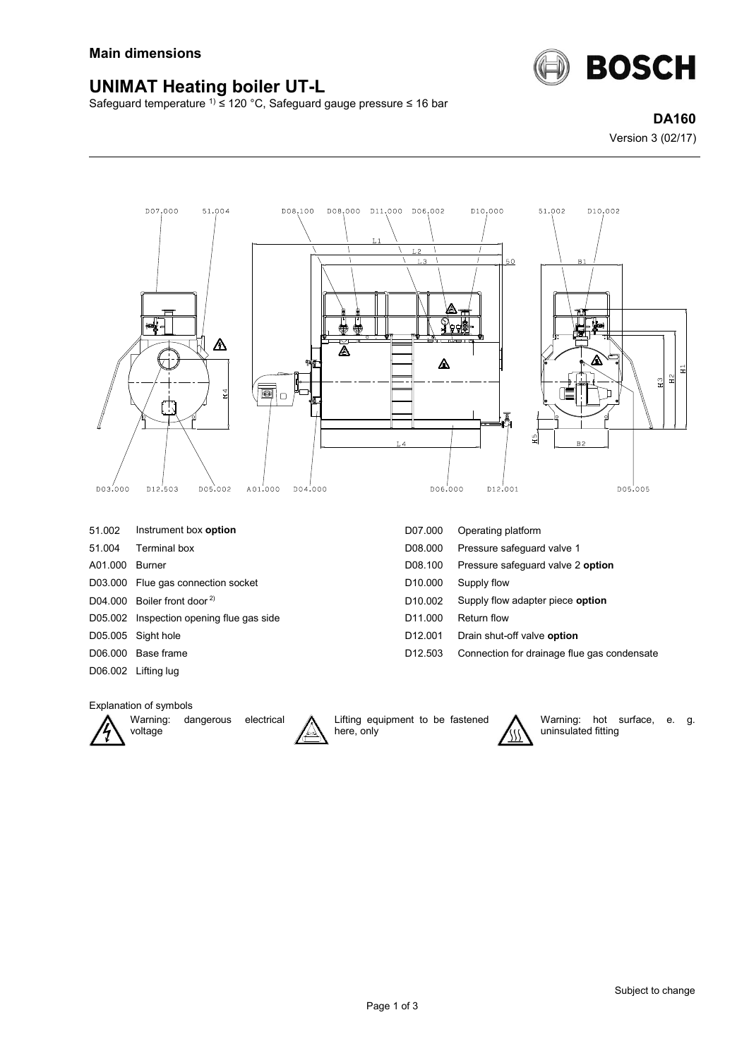

## **UNIMAT Heating boiler UT-L**

Safeguard temperature 1) ≤ 120 °C, Safeguard gauge pressure ≤ 16 bar

**DA160** Version 3 (02/17)



Explanation of symbols



Warning: dangerous electrical voltage



Lifting equipment to be fastened here, only



Warning: hot surface, e. g. uninsulated fitting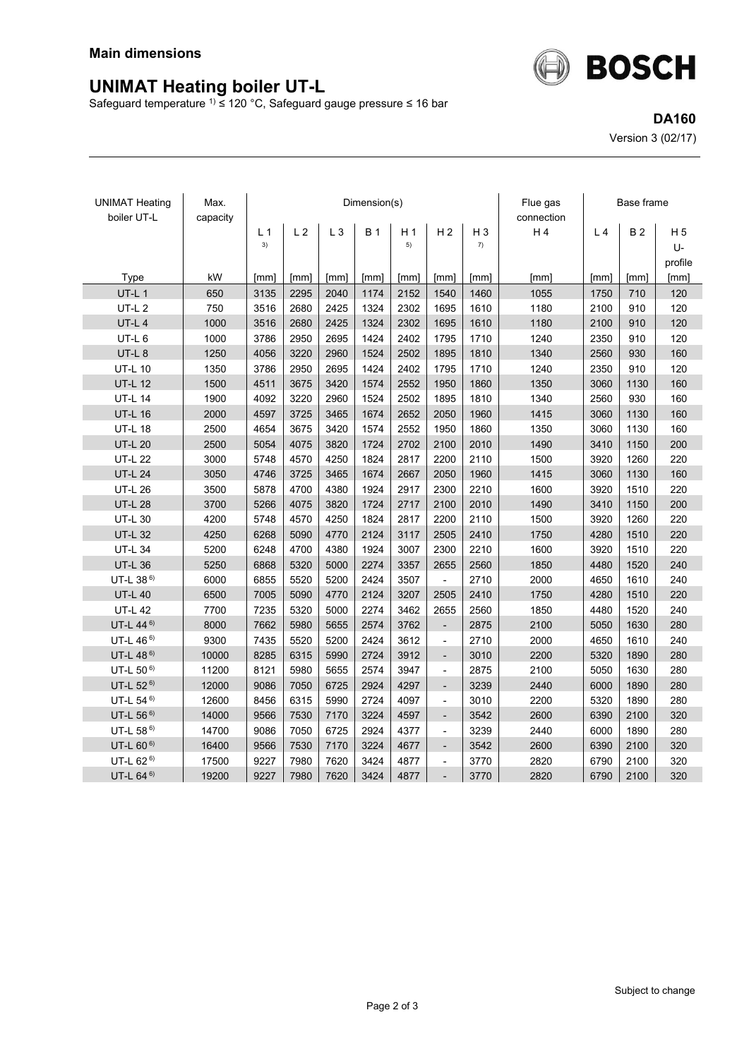

Safeguard temperature <sup>1)</sup> ≤ 120 °C, Safeguard gauge pressure ≤ 16 bar



**DA160** Version 3 (02/17)

| <b>UNIMAT Heating</b><br>boiler UT-L | Max.<br>capacity | Dimension(s)   |                |       |           |                |                          |      | Flue gas<br>connection | Base frame     |           |                |
|--------------------------------------|------------------|----------------|----------------|-------|-----------|----------------|--------------------------|------|------------------------|----------------|-----------|----------------|
|                                      |                  | L <sub>1</sub> | L <sub>2</sub> | $L_3$ | <b>B1</b> | H <sub>1</sub> | H <sub>2</sub>           | H 3  | H4                     | L <sub>4</sub> | <b>B2</b> | H <sub>5</sub> |
|                                      |                  | 3)             |                |       |           | 5)             |                          | 7)   |                        |                |           | U-             |
|                                      |                  |                |                |       |           |                |                          |      |                        |                |           | profile        |
| Type                                 | kW               | [mm]           | [mm]           | [mm]  | [mm]      | [mm]           | [mm]                     | [mm] | [mm]                   | [mm]           | [mm]      | [mm]           |
| UT-L 1                               | 650              | 3135           | 2295           | 2040  | 1174      | 2152           | 1540                     | 1460 | 1055                   | 1750           | 710       | 120            |
| UT-L <sub>2</sub>                    | 750              | 3516           | 2680           | 2425  | 1324      | 2302           | 1695                     | 1610 | 1180                   | 2100           | 910       | 120            |
| UT-L 4                               | 1000             | 3516           | 2680           | 2425  | 1324      | 2302           | 1695                     | 1610 | 1180                   | 2100           | 910       | 120            |
| UT-L 6                               | 1000             | 3786           | 2950           | 2695  | 1424      | 2402           | 1795                     | 1710 | 1240                   | 2350           | 910       | 120            |
| UT-L 8                               | 1250             | 4056           | 3220           | 2960  | 1524      | 2502           | 1895                     | 1810 | 1340                   | 2560           | 930       | 160            |
| <b>UT-L 10</b>                       | 1350             | 3786           | 2950           | 2695  | 1424      | 2402           | 1795                     | 1710 | 1240                   | 2350           | 910       | 120            |
| <b>UT-L 12</b>                       | 1500             | 4511           | 3675           | 3420  | 1574      | 2552           | 1950                     | 1860 | 1350                   | 3060           | 1130      | 160            |
| <b>UT-L 14</b>                       | 1900             | 4092           | 3220           | 2960  | 1524      | 2502           | 1895                     | 1810 | 1340                   | 2560           | 930       | 160            |
| <b>UT-L 16</b>                       | 2000             | 4597           | 3725           | 3465  | 1674      | 2652           | 2050                     | 1960 | 1415                   | 3060           | 1130      | 160            |
| <b>UT-L 18</b>                       | 2500             | 4654           | 3675           | 3420  | 1574      | 2552           | 1950                     | 1860 | 1350                   | 3060           | 1130      | 160            |
| <b>UT-L 20</b>                       | 2500             | 5054           | 4075           | 3820  | 1724      | 2702           | 2100                     | 2010 | 1490                   | 3410           | 1150      | 200            |
| <b>UT-L 22</b>                       | 3000             | 5748           | 4570           | 4250  | 1824      | 2817           | 2200                     | 2110 | 1500                   | 3920           | 1260      | 220            |
| <b>UT-L 24</b>                       | 3050             | 4746           | 3725           | 3465  | 1674      | 2667           | 2050                     | 1960 | 1415                   | 3060           | 1130      | 160            |
| <b>UT-L 26</b>                       | 3500             | 5878           | 4700           | 4380  | 1924      | 2917           | 2300                     | 2210 | 1600                   | 3920           | 1510      | 220            |
| <b>UT-L 28</b>                       | 3700             | 5266           | 4075           | 3820  | 1724      | 2717           | 2100                     | 2010 | 1490                   | 3410           | 1150      | 200            |
| <b>UT-L 30</b>                       | 4200             | 5748           | 4570           | 4250  | 1824      | 2817           | 2200                     | 2110 | 1500                   | 3920           | 1260      | 220            |
| <b>UT-L 32</b>                       | 4250             | 6268           | 5090           | 4770  | 2124      | 3117           | 2505                     | 2410 | 1750                   | 4280           | 1510      | 220            |
| <b>UT-L 34</b>                       | 5200             | 6248           | 4700           | 4380  | 1924      | 3007           | 2300                     | 2210 | 1600                   | 3920           | 1510      | 220            |
| <b>UT-L 36</b>                       | 5250             | 6868           | 5320           | 5000  | 2274      | 3357           | 2655                     | 2560 | 1850                   | 4480           | 1520      | 240            |
| UT-L 38 <sup>6)</sup>                | 6000             | 6855           | 5520           | 5200  | 2424      | 3507           |                          | 2710 | 2000                   | 4650           | 1610      | 240            |
| <b>UT-L 40</b>                       | 6500             | 7005           | 5090           | 4770  | 2124      | 3207           | 2505                     | 2410 | 1750                   | 4280           | 1510      | 220            |
| <b>UT-L 42</b>                       | 7700             | 7235           | 5320           | 5000  | 2274      | 3462           | 2655                     | 2560 | 1850                   | 4480           | 1520      | 240            |
| UT-L 44 <sup>6)</sup>                | 8000             | 7662           | 5980           | 5655  | 2574      | 3762           | $\mathbf{r}$             | 2875 | 2100                   | 5050           | 1630      | 280            |
| UT-L 46 <sup>6)</sup>                | 9300             | 7435           | 5520           | 5200  | 2424      | 3612           | $\frac{1}{2}$            | 2710 | 2000                   | 4650           | 1610      | 240            |
| UT-L 48 <sup>6)</sup>                | 10000            | 8285           | 6315           | 5990  | 2724      | 3912           | $\blacksquare$           | 3010 | 2200                   | 5320           | 1890      | 280            |
| UT-L 50 <sup>6)</sup>                | 11200            | 8121           | 5980           | 5655  | 2574      | 3947           | $\blacksquare$           | 2875 | 2100                   | 5050           | 1630      | 280            |
| UT-L 52 <sup>6)</sup>                | 12000            | 9086           | 7050           | 6725  | 2924      | 4297           | $\overline{\phantom{a}}$ | 3239 | 2440                   | 6000           | 1890      | 280            |
| UT-L 54 <sup>6)</sup>                | 12600            | 8456           | 6315           | 5990  | 2724      | 4097           | $\overline{\phantom{a}}$ | 3010 | 2200                   | 5320           | 1890      | 280            |
| UT-L 56 <sup>6)</sup>                | 14000            | 9566           | 7530           | 7170  | 3224      | 4597           | $\overline{\phantom{a}}$ | 3542 | 2600                   | 6390           | 2100      | 320            |
| UT-L 58 <sup>6)</sup>                | 14700            | 9086           | 7050           | 6725  | 2924      | 4377           | $\overline{\phantom{a}}$ | 3239 | 2440                   | 6000           | 1890      | 280            |
| UT-L 60 <sup>6)</sup>                | 16400            | 9566           | 7530           | 7170  | 3224      | 4677           | $\overline{\phantom{a}}$ | 3542 | 2600                   | 6390           | 2100      | 320            |
| UT-L 62 <sup>6)</sup>                | 17500            | 9227           | 7980           | 7620  | 3424      | 4877           | $\overline{a}$           | 3770 | 2820                   | 6790           | 2100      | 320            |
| UT-L 64 <sup>6)</sup>                | 19200            | 9227           | 7980           | 7620  | 3424      | 4877           |                          | 3770 | 2820                   | 6790           | 2100      | 320            |